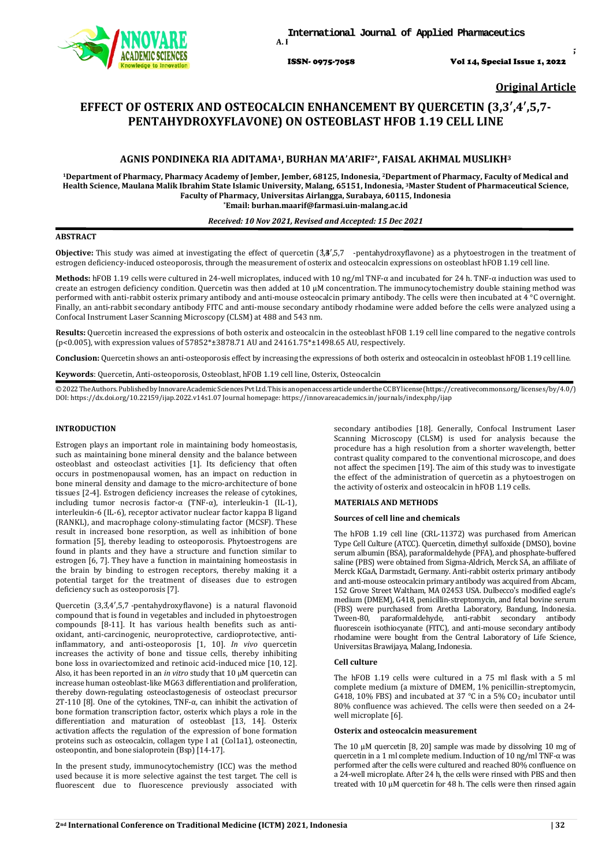

ISSN- 0975-7058 Vol 14, Special Issue 1, 2022

*Int J App Pharm, Vol 14, Special Issue 1, 2022, 32-35*

**Original Article**

# **EFFECT OF OSTERIX AND OSTEOCALCIN ENHANCEMENT BY QUERCETIN (3,3′,4′,5,7- PENTAHYDROXYFLAVONE) ON OSTEOBLAST HFOB 1.19 CELL LINE**

# **AGNIS PONDINEKA RIA ADITAMA1, BURHAN MA'ARIF2\*, FAISAL AKHMAL MUSLIKH3**

**<sup>1</sup>Department of Pharmacy, Pharmacy Academy of Jember, Jember, 68125, Indonesia, 2Department of Pharmacy, Faculty of Medical and Health Science, Maulana Malik Ibrahim State Islamic University, Malang, 65151, Indonesia, 3Master Student of Pharmaceutical Science, Faculty of Pharmacy, Universitas Airlangga, Surabaya, 60115, Indonesia \*Email: burhan.maarif@farmasi.uin-malang.ac.id**

#### *Received: 10 Nov 2021, Revised and Accepted: 15 Dec 2021*

# **ABSTRACT**

Objective: This study was aimed at investigating the effect of quercetin (3,8',5,7 -pentahydroxyflavone) as a phytoestrogen in the treatment of estrogen deficiency-induced osteoporosis, through the measurement of osterix and osteocalcin expressions on osteoblast hFOB 1.19 cell line.

**Methods:** hFOB 1.19 cells were cultured in 24-well microplates, induced with 10 ng/ml TNF-α and incubated for 24 h. TNF-α induction was used to create an estrogen deficiency condition. Quercetin was then added at 10  $\mu$ M concentration. The immunocytochemistry double staining method was performed with anti-rabbit osterix primary antibody and anti-mouse osteocalcin primary antibody. The cells were then incubated at 4 °C overnight. Finally, an anti-rabbit secondary antibody FITC and anti-mouse secondary antibody rhodamine were added before the cells were analyzed using a Confocal Instrument Laser Scanning Microscopy (CLSM) at 488 and 543 nm.

**Results:** Quercetin increased the expressions of both osterix and osteocalcin in the osteoblast hFOB 1.19 cell line compared to the negative controls (p<0.005), with expression values of 57852\*±3878.71 AU and 24161.75\*±1498.65 AU, respectively.

**Conclusion:** Quercetin shows an anti-osteoporosis effect by increasing the expressions of both osterix and osteocalcin in osteoblast hFOB 1.19 cell line.

**Keywords**: Quercetin, Anti-osteoporosis, Osteoblast, hFOB 1.19 cell line, Osterix, Osteocalcin

©2022TheAuthors.PublishedbyInnovareAcademicSciencesPvtLtd.ThisisanopenaccessarticleundertheCCBYlicense(https://creativ[ecommons.](http://creativecommons/)org/licenses/by/4.0/) DOI: [https://dx.doi.org/10.22159/ijap.2022.v14s1.0](https://dx.doi.org/10.22159/ijap.2022.v14s1)7 Journal homepage[: https://innovareacademics.in/journals/index.php/ijap](https://innovareacademics.in/journals/index.php/ijap)

# **INTRODUCTION**

Estrogen plays an important role in maintaining body homeostasis, such as maintaining bone mineral density and the balance between osteoblast and osteoclast activities [1]. Its deficiency that often occurs in postmenopausal women, has an impact on reduction in bone mineral density and damage to the micro-architecture of bone tissues [2-4]. Estrogen deficiency increases the release of cytokines, including tumor necrosis factor- $\alpha$  (TNF-α), interleukin-1 (IL-1), interleukin-6 (IL-6), receptor activator nuclear factor kappa B ligand (RANKL), and macrophage colony-stimulating factor (MCSF). These result in increased bone resorption, as well as inhibition of bone formation [5], thereby leading to osteoporosis. Phytoestrogens are found in plants and they have a structure and function similar to estrogen [6, 7]. They have a function in maintaining homeostasis in the brain by binding to estrogen receptors, thereby making it a potential target for the treatment of diseases due to estrogen deficiency such as osteoporosis [7].

Quercetin (3,3,4',5,7 -pentahydroxyflavone) is a natural flavonoid compound that is found in vegetables and included in phytoestrogen compounds [8-11]. It has various health benefits such as antioxidant, anti-carcinogenic, neuroprotective, cardioprotective, antiinflammatory, and anti-osteoporosis [1, 10]. *In vivo* quercetin increases the activity of bone and tissue cells, thereby inhibiting bone loss in ovariectomized and retinoic acid-induced mice [10, 12]. Also, it has been reported in an *in vitro* study that 10 µM quercetin can increase human osteoblast-like MG63 differentiation and proliferation, thereby down-regulating osteoclastogenesis of osteoclast precursor 2T-110 [8]. One of the cytokines, TNF-α, can inhibit the activation of bone formation transcription factor, osterix which plays a role in the differentiation and maturation of osteoblast [13, 14]. Osterix activation affects the regulation of the expression of bone formation proteins such as osteocalcin, collagen type I a1 (Col1a1), osteonectin, osteopontin, and bone sialoprotein (Bsp) [14-17].

In the present study, immunocytochemistry (ICC) was the method used because it is more selective against the test target. The cell is fluorescent due to fluorescence previously associated with

secondary antibodies [18]. Generally, Confocal Instrument Laser Scanning Microscopy (CLSM) is used for analysis because the procedure has a high resolution from a shorter wavelength, better contrast quality compared to the conventional microscope, and does not affect the specimen [19]. The aim of this study was to investigate the effect of the administration of quercetin as a phytoestrogen on the activity of osterix and osteocalcin in hFOB 1.19 cells.

# **MATERIALS AND METHODS**

## **Sources of cell line and chemicals**

The hFOB 1.19 cell line (CRL-11372) was purchased from American Type Cell Culture (ATCC). Quercetin, dimethyl sulfoxide (DMSO), bovine serum albumin (BSA), paraformaldehyde (PFA), and phosphate-buffered saline (PBS) were obtained from Sigma-Aldrich, Merck SA, an affiliate of Merck KGaA, Darmstadt, Germany. Anti-rabbit osterix primary antibody and anti-mouse osteocalcin primary antibody was acquired from Abcam, 152 Grove Street Waltham, MA 02453 USA. Dulbecco's modified eagle's medium (DMEM), G418, penicillin-streptomycin, and fetal bovine serum (FBS) were purchased from Aretha Laboratory, Bandung, Indonesia. Tween-80, paraformaldehyde, anti-rabbit secondary antibody fluorescein isothiocyanate (FITC), and anti-mouse secondary antibody rhodamine were bought from the Central Laboratory of Life Science, Universitas Brawijaya, Malang, Indonesia.

### **Cell culture**

The hFOB 1.19 cells were cultured in a 75 ml flask with a 5 ml complete medium (a mixture of DMEM, 1% penicillin-streptomycin, G418, 10% FBS) and incubated at 37 °C in a 5% CO<sub>2</sub> incubator until 80% confluence was achieved. The cells were then seeded on a 24 well microplate [6].

#### **Osterix and osteocalcin measurement**

The 10 μM quercetin [8, 20] sample was made by dissolving 10 mg of quercetin in a 1 ml complete medium. Induction of 10 ng/ml TNF-α was performed after the cells were cultured and reached 80% confluence on a 24-well microplate. After 24 h, the cells were rinsed with PBS and then treated with 10 μM quercetin for 48 h. The cells were then rinsed again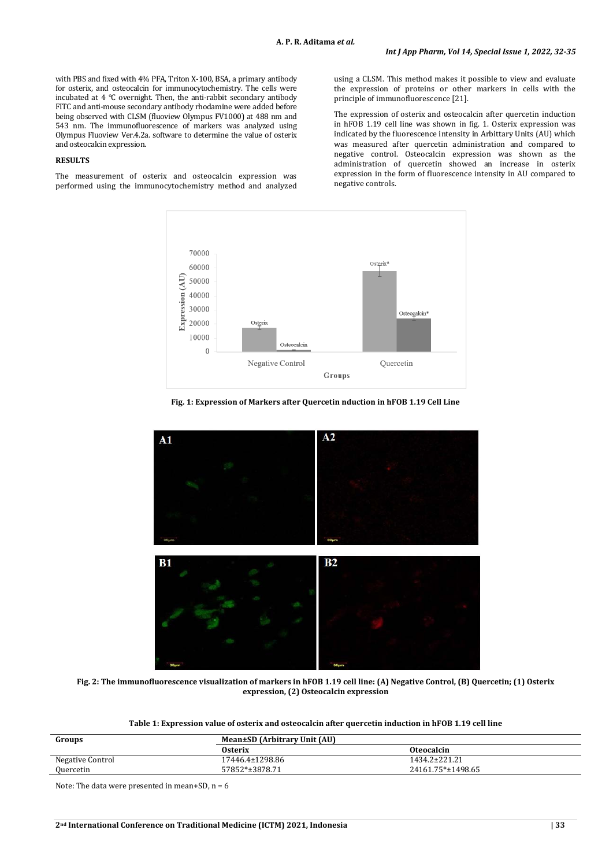with PBS and fixed with 4% PFA, Triton X-100, BSA, a primary antibody for osterix, and osteocalcin for immunocytochemistry. The cells were incubated at 4 °C overnight. Then, the anti-rabbit secondary antibody FITC and anti-mouse secondary antibody rhodamine were added before being observed with CLSM (fluoview Olympus FV1000) at 488 nm and 543 nm. The immunofluorescence of markers was analyzed using Olympus Fluoview Ver.4.2a. software to determine the value of osterix and osteocalcin expression.

#### **RESULTS**

The measurement of osterix and osteocalcin expression was performed using the immunocytochemistry method and analyzed using a CLSM. This method makes it possible to view and evaluate the expression of proteins or other markers in cells with the principle of immunofluorescence [21].

The expression of osterix and osteocalcin after quercetin induction in hFOB 1.19 cell line was shown in fig. 1. Osterix expression was indicated by the fluorescence intensity in Arbittary Units (AU) which was measured after quercetin administration and compared to negative control. Osteocalcin expression was shown as the administration of quercetin showed an increase in osterix expression in the form of fluorescence intensity in AU compared to negative controls.



**Fig. 1: Expression of Markers after Quercetin nduction in hFOB 1.19 Cell Line**



**Fig. 2: The immunofluorescence visualization of markers in hFOB 1.19 cell line: (A) Negative Control, (B) Quercetin; (1) Osterix expression, (2) Osteocalcin expression**

| Groups           | Mean±SD (Arbitrary Unit (AU) |                   |
|------------------|------------------------------|-------------------|
|                  | <b>Osterix</b>               | <b>Oteocalcin</b> |
| Negative Control | 17446.4±1298.86              | 1434.2±221.21     |
| Quercetin        | 57852*±3878.71               | 24161.75*±1498.65 |

Note: The data were presented in mean+SD,  $n = 6$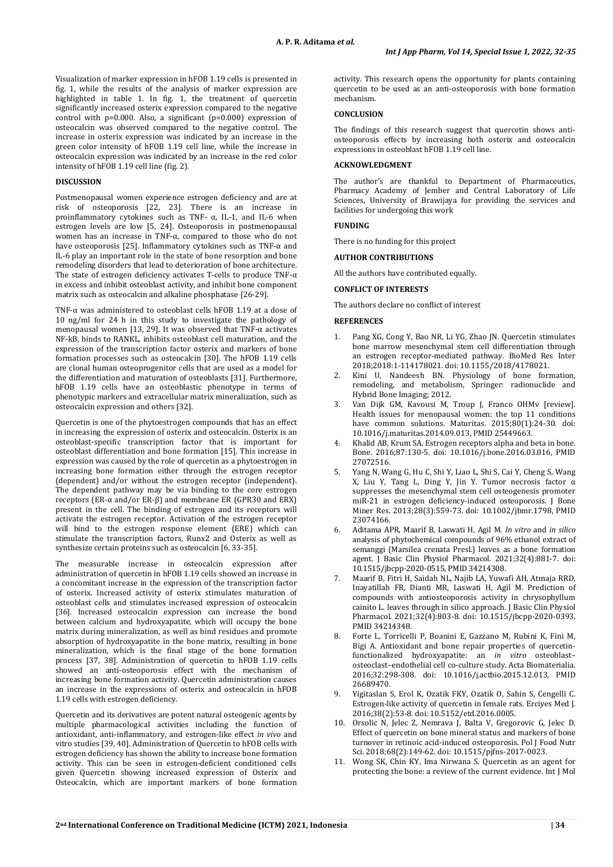Visualization of marker expression in hFOB 1.19 cells is presented in fig. 1, while the results of the analysis of marker expression are highlighted in table 1. In fig. 1, the treatment of quercetin significantly increased osterix expression compared to the negative control with p=0.000. Also, a significant (p=0.000) expression of osteocalcin was observed compared to the negative control. The increase in osterix expression was indicated by an increase in the green color intensity of hFOB 1.19 cell line, while the increase in osteocalcin expression was indicated by an increase in the red color intensity of hFOB 1.19 cell line (fig. 2).

# **DISCUSSION**

Postmenopausal women experience estrogen deficiency and are at risk of osteoporosis [22, 23]. There is an increase in proinflammatory cytokines such as TNF- α, IL-1, and IL-6 when estrogen levels are low [5, 24]. Osteoporosis in postmenopausal women has an increase in TNF-α, compared to those who do not have osteoporosis [25]. Inflammatory cytokines such as TNF-α and IL-6 play an important role in the state of bone resorption and bone remodeling disorders that lead to deterioration of bone architecture. The state of estrogen deficiency activates T-cells to produce TNF- $\alpha$ in excess and inhibit osteoblast activity, and inhibit bone component matrix such as osteocalcin and alkaline phosphatase [26-29].

TNF-α was administered to osteoblast cells hFOB 1.19 at a dose of 10 ng/ml for 24 h in this study to investigate the pathology of menopausal women [13, 29]. It was observed that TNF-α activates NF-kB, binds to RANKL, inhibits osteoblast cell maturation, and the expression of the transcription factor osterix and markers of bone formation processes such as osteocalcin [30]. The hFOB 1.19 cells are clonal human osteoprogenitor cells that are used as a model for the differentiation and maturation of osteoblasts [31]. Furthermore, hFOB 1.19 cells have an osteoblastic phenotype in terms of phenotypic markers and extracellular matrix mineralization, such as osteocalcin expression and others [32].

Quercetin is one of the phytoestrogen compounds that has an effect in increasing the expression of osterix and osteocalcin. Osterix is an osteoblast-specific transcription factor that is important for osteoblast differentiation and bone formation [15]. This increase in expression was caused by the role of quercetin as a phytoestrogen in increasing bone formation either through the estrogen receptor (dependent) and/or without the estrogen receptor (independent). The dependent pathway may be via binding to the core estrogen receptors (ER-α and/or ER-β) and membrane ER (GPR30 and ERX) present in the cell. The binding of estrogen and its receptors will activate the estrogen receptor. Activation of the estrogen receptor will bind to the estrogen response element (ERE) which can stimulate the transcription factors, Runx2 and Osterix as well as synthesize certain proteins such as osteocalcin [6, 33-35].

The measurable increase in osteocalcin expression after administration of quercetin in hFOB 1.19 cells showed an increase in a concomitant increase in the expression of the transcription factor of osterix. Increased activity of osterix stimulates maturation of osteoblast cells and stimulates increased expression of osteocalcin [36]. Increased osteocalcin expression can increase the bond between calcium and hydroxyapatite, which will occupy the bone matrix during mineralization, as well as bind residues and promote absorption of hydroxyapatite in the bone matrix, resulting in bone mineralization, which is the final stage of the bone formation process [37, 38]. Administration of quercetin to hFOB 1.19 cells showed an anti-osteoporosis effect with the mechanism of increasing bone formation activity. Quercetin administration causes an increase in the expressions of osterix and osteocalcin in hFOB 1.19 cells with estrogen deficiency.

Quercetin and its derivatives are potent natural osteogenic agents by multiple pharmacological activities including the function of antioxidant, anti-inflammatory, and estrogen-like effect *in vivo* and vitro studies [39, 40]. Administration of Quercetin to hFOB cells with estrogen deficiency has shown the ability to increase bone formation activity. This can be seen in estrogen-deficient conditioned cells given Quercetin showing increased expression of Osterix and Osteocalcin, which are important markers of bone formation activity. This research opens the opportunity for plants containing quercetin to be used as an anti-osteoporosis with bone formation mechanism.

#### **CONCLUSION**

The findings of this research suggest that quercetin shows antiosteoporosis effects by increasing both osterix and osteocalcin expressions in osteoblast hFOB 1.19 cell line.

# **ACKNOWLEDGMENT**

The author's are thankful to Department of Pharmaceutics, Pharmacy Academy of Jember and Central Laboratory of Life Sciences, University of Brawijaya for providing the services and facilities for undergoing this work

# **FUNDING**

There is no funding for this project

# **AUTHOR CONTRIBUTIONS**

All the authors have contributed equally.

# **CONFLICT OF INTERESTS**

The authors declare no conflict of interest

# **REFERENCES**

- 1. Pang XG, Cong Y, Bao NR, Li YG, Zhao JN. Quercetin stimulates bone marrow mesenchymal stem cell differentiation through an estrogen receptor-mediated pathway. BioMed Res Inter 2018;2018:1-114178021. doi: 10.1155/2018/4178021.
- 2. Kini U, Nandeesh BN. Physiology of bone formation, remodeling, and metabolism, Springer: radionuclide and Hybrid Bone Imaging; 2012.
- 3. Van Dijk GM, Kavousi M, Troup J, Franco OHMv [review]. Health issues for menopausal women: the top 11 conditions have common solutions. Maturitas. 2015;80(1):24-30. doi: 10.1016/j.maturitas.2014.09.013, PMID 25449663.
- 4. Khalid AB, Krum SA. Estrogen receptors alpha and beta in bone. Bone. 2016;87:130-5. doi: 10.1016/j.bone.2016.03.016, PMID 27072516.
- 5. Yang N, Wang G, Hu C, Shi Y, Liao L, Shi S, Cai Y, Cheng S, Wang X, Liu Y, Tang L, Ding Y, Jin Y. Tumor necrosis factor α suppresses the mesenchymal stem cell osteogenesis promoter miR-21 in estrogen deficiency-induced osteoporosis. J Bone Miner Res. 2013;28(3):559-73. doi: 10.1002/jbmr.1798, PMID 23074166.
- 6. Aditama APR, Maarif B, Laswati H, Agil M. *In vitro* and *in silico* analysis of phytochemical compounds of 96% ethanol extract of semanggi (Marsilea crenata Presl.) leaves as a bone formation agent. J Basic Clin Physiol Pharmacol. 2021;32(4):881-7. doi: 10.1515/jbcpp-2020-0515, PMID 34214308.
- 7. Maarif B, Fitri H, Saidah NL, Najib LA, Yuwafi AH, Atmaja RRD, Inayatillah FR, Dianti MR, Laswati H, Agil M. Prediction of compounds with antiosteoporosis activity in chrysophyllum cainito L. leaves through in silico approach. J Basic Clin Physiol Pharmacol. 2021;32(4):803-8. doi: 10.1515/jbcpp-2020-0393, PMID 34214348.
- 8. Forte L, Torricelli P, Boanini E, Gazzano M, Rubini K, Fini M, Bigi A. Antioxidant and bone repair properties of quercetinfunctionalized hydroxyapatite: an *in vitro* osteoblast– osteoclast–endothelial cell co-culture study. Acta Biomaterialia. 2016;32:298-308. doi: 10.1016/j.actbio.2015.12.013, PMID 26689470.
- 9. Yigitaslan S, Erol K, Ozatik FKY, Ozatik O, Sahin S, Cengelli C. Estrogen-like activity of quercetin in female rats. Erciyes Med J. 2016;38(2):53-8. doi: 10.5152/etd.2016.0005.
- 10. Orsolic N, Jelec Z, Nemrava J, Balta V, Gregorovic G, Jelec D. Effect of quercetin on bone mineral status and markers of bone turnover in retinoic acid-induced osteoporosis. Pol J Food Nutr Sci. 2018;68(2):149-62. doi: 10.1515/pjfns-2017-0023.
- 11. Wong SK, Chin KY, Ima Nirwana S. Quercetin as an agent for protecting the bone: a review of the current evidence. Int J Mol